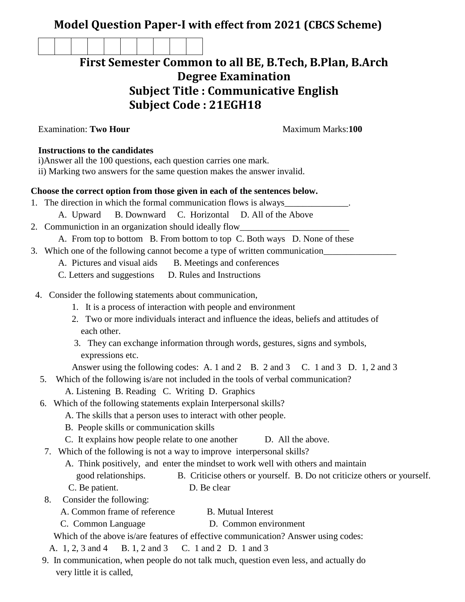# **Model Question Paper-I with effect from 2021 (CBCS Scheme)**

# **First Semester Common to all BE, B.Tech, B.Plan, B.Arch Degree Examination Subject Title : Communicative English Subject Code : 21EGH18**

Examination: **Two Hour Maximum Marks:100 Instructions to the candidates** i)Answer all the 100 questions, each question carries one mark. ii) Marking two answers for the same question makes the answer invalid. **Choose the correct option from those given in each of the sentences below.** 1. The direction in which the formal communication flows is always A. Upward B. Downward C. Horizontal D. All of the Above 2. Communiction in an organization should ideally flow\_ A. From top to bottom B. From bottom to top C. Both ways D. None of these 3. Which one of the following cannot become a type of written communication A. Pictures and visual aids B. Meetings and conferences C. Letters and suggestions D. Rules and Instructions 4. Consider the following statements about communication, 1. It is a process of interaction with people and environment 2. Two or more individuals interact and influence the ideas, beliefs and attitudes of each other. 3. They can exchange information through words, gestures, signs and symbols, expressions etc. Answer using the following codes: A. 1 and 2 B. 2 and 3 C. 1 and 3 D. 1, 2 and 3 5. Which of the following is/are not included in the tools of verbal communication? A. Listening B. Reading C. Writing D. Graphics 6. Which of the following statements explain Interpersonal skills? A. The skills that a person uses to interact with other people. B. People skills or communication skills C. It explains how people relate to one another D. All the above. 7. Which of the following is not a way to improve interpersonal skills? A. Think positively, and enter the mindset to work well with others and maintain good relationships. B. Criticise others or yourself. B. Do not criticize others or yourself. C. Be patient. D. Be clear 8. Consider the following: A. Common frame of reference B. Mutual Interest C. Common Language D. Common environment Which of the above is/are features of effective communication? Answer using codes:

- A. 1, 2, 3 and 4 B. 1, 2 and 3 C. 1 and 2 D. 1 and 3
- 9. In communication, when people do not talk much, question even less, and actually do very little it is called,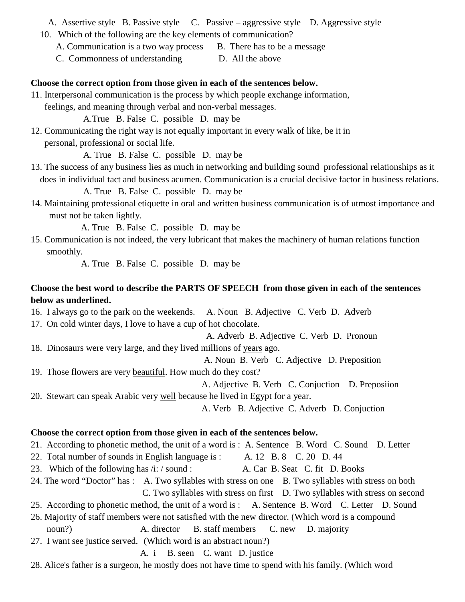#### A. Assertive style B. Passive style C. Passive – aggressive style D. Aggressive style

- 10. Which of the following are the key elements of communication?
	- A. Communication is a two way process B. There has to be a message
	- C. Commonness of understanding D. All the above

#### **Choose the correct option from those given in each of the sentences below.**

- 11. Interpersonal communication is the process by which people exchange information,
	- feelings, and meaning through verbal and non-verbal messages.

A.True B. False C. possible D. may be

12. Communicating the right way is not equally important in every walk of like, be it in personal, professional or social life.

A. True B. False C. possible D. may be

13. The success of any business lies as much in networking and building sound professional relationships as it does in individual tact and business acumen. Communication is a crucial decisive factor in business relations.

A. True B. False C. possible D. may be

14. Maintaining professional etiquette in oral and written business communication is of utmost importance and must not be taken lightly.

A. True B. False C. possible D. may be

15. Communication is not indeed, the very lubricant that makes the machinery of human relations function smoothly.

A. True B. False C. possible D. may be

# **Choose the best word to describe the PARTS OF SPEECH from those given in each of the sentences below as underlined.**

- 16. I always go to the park on the weekends. A. Noun B. Adjective C. Verb D. Adverb
- 17. On cold winter days, I love to have a cup of hot chocolate.

A. Adverb B. Adjective C. Verb D. Pronoun

# 18. Dinosaurs were very large, and they lived millions of years ago.

A. Noun B. Verb C. Adjective D. Preposition

19. Those flowers are very beautiful. How much do they cost?

A. Adjective B. Verb C. Conjuction D. Preposiion

20. Stewart can speak Arabic very well because he lived in Egypt for a year.

A. Verb B. Adjective C. Adverb D. Conjuction

### **Choose the correct option from those given in each of the sentences below.**

- 21. According to phonetic method, the unit of a word is : A. Sentence B. Word C. Sound D. Letter
- 22. Total number of sounds in English language is : A. 12 B. 8 C. 20 D. 44
- 23. Which of the following has /i: / sound : A. Car B. Seat C. fit D. Books
- 24. The word "Doctor" has : A. Two syllables with stress on one B. Two syllables with stress on both C. Two syllables with stress on first D. Two syllables with stress on second
- 25. According to phonetic method, the unit of a word is : A. Sentence B. Word C. Letter D. Sound
- 26. Majority of staff members were not satisfied with the new director. (Which word is a compound noun?) A. director B. staff members C. new D. majority
- 27. I want see justice served. (Which word is an abstract noun?)

A. i B. seen C. want D. justice

28. Alice's father is a surgeon, he mostly does not have time to spend with his family. (Which word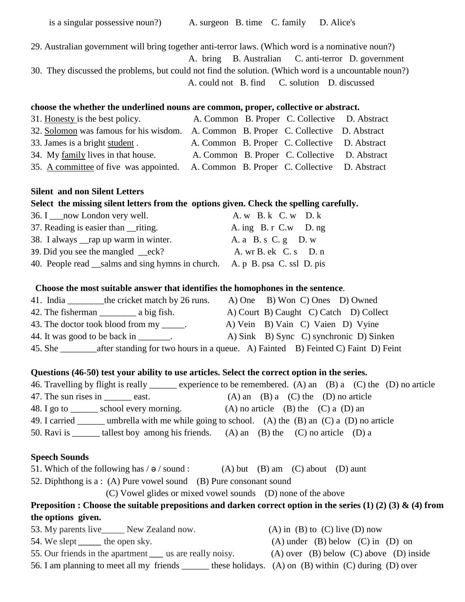29. Australian government will bring together anti-terror laws. (Which word is a nominative noun?) A. bring B. Australian C. anti-terror D. government 30. They discussed the problems, but could not find the solution. (Which word is a uncountable noun?) A. could not B. find C. solution D. discussed

#### **choose the whether the underlined nouns are common, proper, collective or abstract.**

| 31. Honesty is the best policy.                                                      |  | A. Common B. Proper C. Collective D. Abstract |  |
|--------------------------------------------------------------------------------------|--|-----------------------------------------------|--|
| 32. Solomon was famous for his wisdom. A. Common B. Proper C. Collective D. Abstract |  |                                               |  |
| 33. James is a bright student.                                                       |  | A. Common B. Proper C. Collective D. Abstract |  |
| 34. My family lives in that house.                                                   |  | A. Common B. Proper C. Collective D. Abstract |  |
| 35. A committee of five was appointed.                                               |  | A. Common B. Proper C. Collective D. Abstract |  |

#### **Silent and non Silent Letters**

#### **Select the missing silent letters from the options given. Check the spelling carefully.**

| 36. I ___ now London very well.                                           | A. w B. k C. w D. k   |
|---------------------------------------------------------------------------|-----------------------|
| 37. Reading is easier than ____riting.                                    | A. ing B. r C.w D. ng |
| 38. I always ___ rap up warm in winter.                                   | A. a B. s C. g D. w   |
| 39. Did you see the mangled $-$ eck?                                      | A. wr B. ek C. s D. n |
| 40. People read salms and sing hymns in church. A. p B. psa C. ssl D. pis |                       |

#### **Choose the most suitable answer that identifies the homophones in the sentence**.

| 41. India | the cricket match by 26 runs.             | A) One B) Won C) Ones D) Owned                                                   |
|-----------|-------------------------------------------|----------------------------------------------------------------------------------|
|           |                                           | A) Court B) Caught C) Catch D) Collect                                           |
|           | 43. The doctor took blood from my ______. | A) Vein B) Vain C) Vaien D) Vyine                                                |
|           | 44. It was good to be back in _______.    | A) Sink B) Sync C) synchronic D) Sinken                                          |
| 45. She   |                                           | after standing for two hours in a queue. A) Fainted B) Feinted C) Faint D) Feint |

#### **Questions (46-50) test your ability to use articles. Select the correct option in the series.**

|                                            | 46. Travelling by flight is really same experience to be remembered. (A) an (B) a (C) the (D) no article |
|--------------------------------------------|----------------------------------------------------------------------------------------------------------|
| 47. The sun rises in east.                 | $(A)$ an $(B)$ a $(C)$ the $(D)$ no article                                                              |
| 48. I go to ________ school every morning. | $(A)$ no article $(B)$ the $(C)$ a $(D)$ an                                                              |
| 49. I carried                              | umbrella with me while going to school. (A) the $(B)$ an $(C)$ a $(D)$ no article                        |
| 50. Ravi is                                | tallest boy among his friends. $(A)$ an $(B)$ the $(C)$ no article $(D)$ a                               |

#### **Speech Sounds**

51. Which of the following has  $/ \theta$  / sound : (A) but (B) am (C) about (D) aunt

52. Diphthong is a : (A) Pure vowel sound (B) Pure consonant sound

(C) Vowel glides or mixed vowel sounds (D) none of the above

## **Preposition : Choose the suitable prepositions and darken correct option in the series (1) (2) (3) & (4) from the options given.**

53. My parents live\_\_\_\_\_ New Zealand now. (A) in (B) to (C) live (D) now 54. We slept <u>the open sky</u>. (A) under (B) below (C) in (D) on 55. Our friends in the apartment *\_\_\_* us are really noisy. (A) over (B) below (C) above (D) inside 56. I am planning to meet all my friends these holidays. (A) on (B) within (C) during (D) over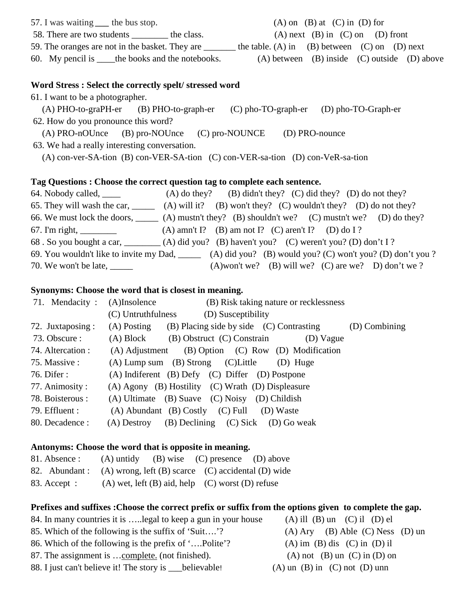| 57. I was waiting ____ the bus stop.                 | $(A)$ on $(B)$ at $(C)$ in $(D)$ for                 |
|------------------------------------------------------|------------------------------------------------------|
| 58. There are two students<br>the class.             | $(A)$ next $(B)$ in $(C)$ on $(D)$ front             |
| 59. The oranges are not in the basket. They are      | the table. (A) in (B) between (C) on (D) next        |
| 60. My pencil is <u>the</u> books and the notebooks. | $(A)$ between $(B)$ inside $(C)$ outside $(D)$ above |

#### **Word Stress : Select the correctly spelt/ stressed word**

61. I want to be a photographer.

 (A) PHO-to-graPH-er (B) PHO-to-graph-er (C) pho-TO-graph-er (D) pho-TO-Graph-er 62. How do you pronounce this word?

(A) PRO-nOUnce (B) pro-NOUnce (C) pro-NOUNCE (D) PRO-nounce

63. We had a really interesting conversation.

(A) con-ver-SA-tion (B) con-VER-SA-tion (C) con-VER-sa-tion (D) con-VeR-sa-tion

#### **Tag Questions : Choose the correct question tag to complete each sentence.**

| 64. Nobody called, _____      | (A) do they? (B) didn't they? (C) did they? (D) do not they?                                                 |
|-------------------------------|--------------------------------------------------------------------------------------------------------------|
|                               | 65. They will wash the car, $\qquad \qquad$ (A) will it? (B) won't they? (C) wouldn't they? (D) do not they? |
|                               | 66. We must lock the doors, $\qquad \qquad$ (A) mustn't they? (B) shouldn't we? (C) mustn't we? (D) do they? |
| 67. I'm right, $\frac{1}{2}$  | (A) amn't I? (B) am not I? (C) aren't I? (D) do I?                                                           |
|                               | 68. So you bought a car, (A) did you? (B) haven't you? (C) weren't you? (D) don't I?                         |
|                               | 69. You wouldn't like to invite my Dad, ______ (A) did you? (B) would you? (C) won't you? (D) don't you?     |
| 70. We won't be late, _______ | (A)won't we? (B) will we? (C) are we? D) don't we?                                                           |

#### **Synonyms: Choose the word that is closest in meaning.**

| 71. Mendacity:    | (B) Risk taking nature or recklessness<br>$(A)$ Insolence                  |
|-------------------|----------------------------------------------------------------------------|
|                   | (C) Untruthfulness<br>(D) Susceptibility                                   |
| 72. Juxtaposing:  | (B) Placing side by side (C) Contrasting<br>(D) Combining<br>$(A)$ Posting |
| 73. Obscure :     | (A) Block<br>(B) Obstruct (C) Constrain<br>(D) Vague                       |
| 74. Altercation : | (A) Adjustment (B) Option (C) Row (D) Modification                         |
| 75. Massive :     | $(A)$ Lump sum $(B)$ Strong $(C)$ Little<br>(D) Huge                       |
| 76. Difer :       | (A) Indiferent (B) Defy (C) Differ (D) Postpone                            |
| 77. Animosity:    | (A) Agony (B) Hostility (C) Wrath (D) Displeasure                          |
| 78. Boisterous :  | $(A)$ Ultimate $(B)$ Suave $(C)$ Noisy $(D)$ Childish                      |
| 79. Effluent :    | (A) Abundant (B) Costly (C) Full (D) Waste                                 |
| 80. Decadence :   | (B) Declining (C) Sick (D) Go weak<br>(A) Destroy                          |

#### **Antonyms: Choose the word that is opposite in meaning.**

| 81. Absence : | (A) untidy (B) wise (C) presence (D) above                       |  |
|---------------|------------------------------------------------------------------|--|
|               | 82. Abundant: (A) wrong, left (B) scarce (C) accidental (D) wide |  |
| 83. Accept :  | $(A)$ wet, left $(B)$ aid, help $(C)$ worst $(D)$ refuse         |  |

#### **Prefixes and suffixes :Choose the correct prefix or suffix from the options given to complete the gap.**

- 84. In many countries it is ..... legal to keep a gun in your house (A) ill (B) un (C) il (D) el
- 85. Which of the following is the suffix of 'Suit….'? (A) Ary (B) Able (C) Ness (D) un
- 86. Which of the following is the prefix of '….Polite'? (A) im (B) dis (C) in (D) il
- 87. The assignment is  $\dots$ complete. (not finished). (A) not (B) un (C) in (D) on
- 88. I just can't believe it! The story is \_\_\_believable! (A) un (B) in (C) not (D) unn
-